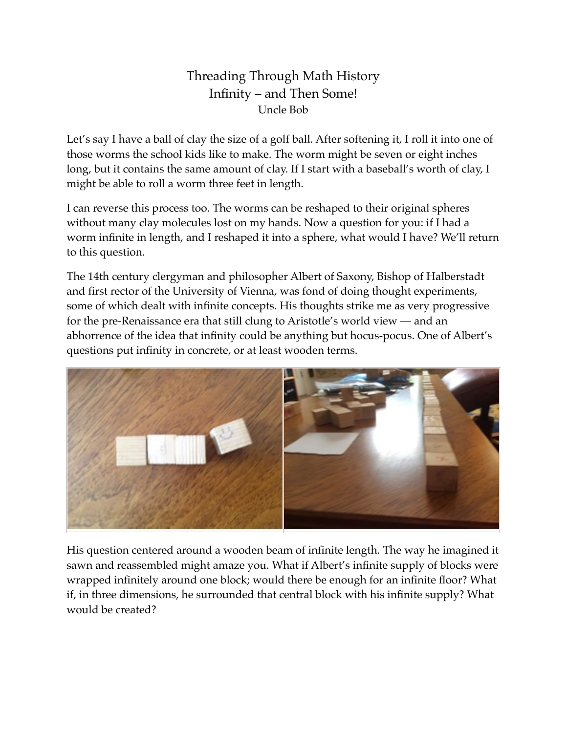## Threading Through Math History Infinity – and Then Some! Uncle Bob

Let's say I have a ball of clay the size of a golf ball. After softening it, I roll it into one of those worms the school kids like to make. The worm might be seven or eight inches long, but it contains the same amount of clay. If I start with a baseball's worth of clay, I might be able to roll a worm three feet in length.

I can reverse this process too. The worms can be reshaped to their original spheres without many clay molecules lost on my hands. Now a question for you: if I had a worm infinite in length, and I reshaped it into a sphere, what would I have? We'll return to this question.

The 14th century clergyman and philosopher Albert of Saxony, Bishop of Halberstadt and first rector of the University of Vienna, was fond of doing thought experiments, some of which dealt with infinite concepts. His thoughts strike me as very progressive for the pre-Renaissance era that still clung to Aristotle's world view — and an abhorrence of the idea that infinity could be anything but hocus-pocus. One of Albert's questions put infinity in concrete, or at least wooden terms.



His question centered around a wooden beam of infinite length. The way he imagined it sawn and reassembled might amaze you. What if Albert's infinite supply of blocks were wrapped infinitely around one block; would there be enough for an infinite floor? What if, in three dimensions, he surrounded that central block with his infinite supply? What would be created?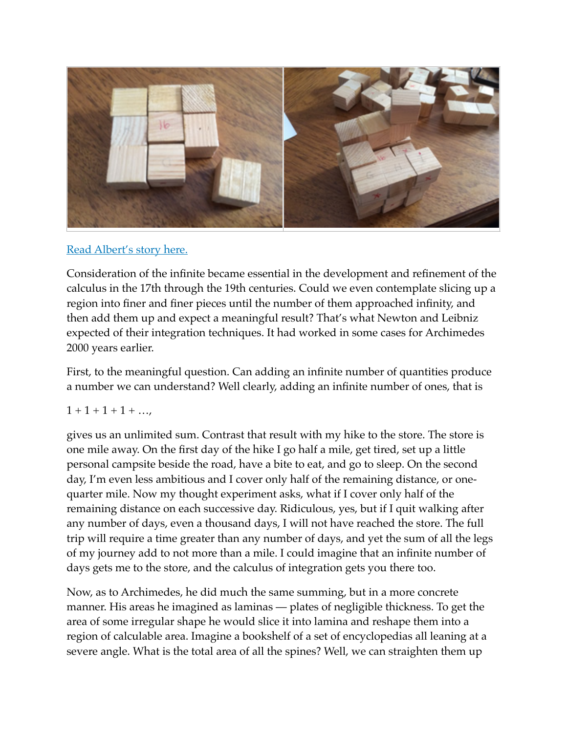

## [Read Albert's story here.](https://en.wikipedia.org/wiki/Albert_of_Saxony_(philosopher))

Consideration of the infinite became essential in the development and refinement of the calculus in the 17th through the 19th centuries. Could we even contemplate slicing up a region into finer and finer pieces until the number of them approached infinity, and then add them up and expect a meaningful result? That's what Newton and Leibniz expected of their integration techniques. It had worked in some cases for Archimedes 2000 years earlier.

First, to the meaningful question. Can adding an infinite number of quantities produce a number we can understand? Well clearly, adding an infinite number of ones, that is

## $1 + 1 + 1 + 1 + \ldots$

gives us an unlimited sum. Contrast that result with my hike to the store. The store is one mile away. On the first day of the hike I go half a mile, get tired, set up a little personal campsite beside the road, have a bite to eat, and go to sleep. On the second day, I'm even less ambitious and I cover only half of the remaining distance, or onequarter mile. Now my thought experiment asks, what if I cover only half of the remaining distance on each successive day. Ridiculous, yes, but if I quit walking after any number of days, even a thousand days, I will not have reached the store. The full trip will require a time greater than any number of days, and yet the sum of all the legs of my journey add to not more than a mile. I could imagine that an infinite number of days gets me to the store, and the calculus of integration gets you there too.

Now, as to Archimedes, he did much the same summing, but in a more concrete manner. His areas he imagined as laminas — plates of negligible thickness. To get the area of some irregular shape he would slice it into lamina and reshape them into a region of calculable area. Imagine a bookshelf of a set of encyclopedias all leaning at a severe angle. What is the total area of all the spines? Well, we can straighten them up